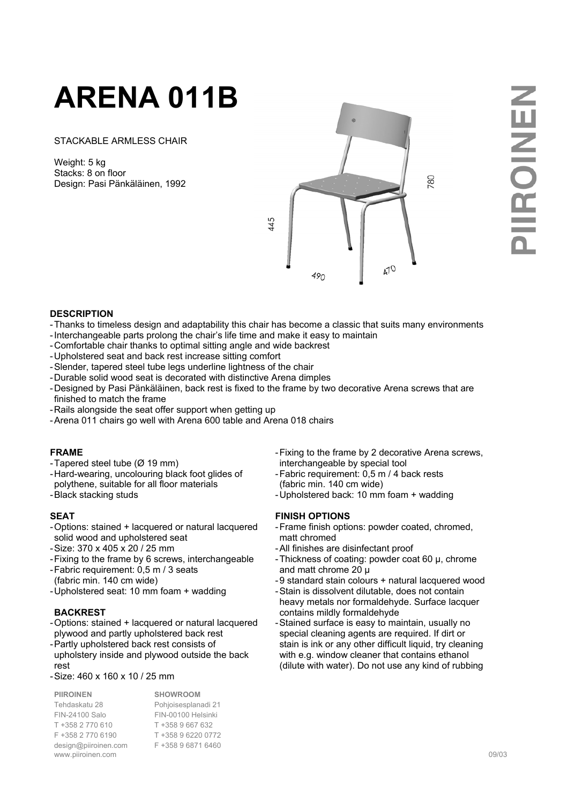# **ARENA 011B**

STACKABLE ARMLESS CHAIR

Weight: 5 kg Stacks: 8 on floor Design: Pasi Pänkäläinen, 1992



#### **DESCRIPTION**

- Thanks to timeless design and adaptability this chair has become a classic that suits many environments
- Interchangeable parts prolong the chair's life time and make it easy to maintain
- Comfortable chair thanks to optimal sitting angle and wide backrest
- Upholstered seat and back rest increase sitting comfort
- Slender, tapered steel tube legs underline lightness of the chair
- Durable solid wood seat is decorated with distinctive Arena dimples
- Designed by Pasi Pänkäläinen, back rest is fixed to the frame by two decorative Arena screws that are finished to match the frame
- Rails alongside the seat offer support when getting up
- Arena 011 chairs go well with Arena 600 table and Arena 018 chairs

#### **FRAME**

- Tapered steel tube (Ø 19 mm)
- Hard-wearing, uncolouring black foot glides of
- polythene, suitable for all floor materials
- Black stacking studs

#### **SEAT**

- Options: stained + lacquered or natural lacquered solid wood and upholstered seat
- Size: 370 x 405 x 20 / 25 mm
- Fixing to the frame by 6 screws, interchangeable
- Fabric requirement: 0,5 m / 3 seats (fabric min. 140 cm wide)
- Upholstered seat: 10 mm foam + wadding

#### **BACKREST**

- Options: stained + lacquered or natural lacquered plywood and partly upholstered back rest
- Partly upholstered back rest consists of
- upholstery inside and plywood outside the back rest
- Size: 460 x 160 x 10 / 25 mm

| <b>PIIROINEN</b>     | <b>SHOWROOM</b>     |       |
|----------------------|---------------------|-------|
| Tehdaskatu 28        | Pohjoisesplanadi 21 |       |
| FIN-24100 Salo       | FIN-00100 Helsinki  |       |
| T +358 2 770 610     | T +358 9 667 632    |       |
| F +358 2 770 6190    | T +358 9 6220 0772  |       |
| design@piiroinen.com | F +358 9 6871 6460  |       |
| www.piiroinen.com    |                     | 09/03 |

- Fixing to the frame by 2 decorative Arena screws, interchangeable by special tool
- Fabric requirement: 0,5 m / 4 back rests
- (fabric min. 140 cm wide)
- Upholstered back: 10 mm foam + wadding

- Frame finish options: powder coated, chromed, matt chromed
- All finishes are disinfectant proof
- Thickness of coating: powder coat 60 µ, chrome and matt chrome 20 µ
- 9 standard stain colours + natural lacquered wood
- Stain is dissolvent dilutable, does not contain heavy metals nor formaldehyde. Surface lacquer contains mildly formaldehyde
- Stained surface is easy to maintain, usually no special cleaning agents are required. If dirt or stain is ink or any other difficult liquid, try cleaning with e.g. window cleaner that contains ethanol (dilute with water). Do not use any kind of rubbing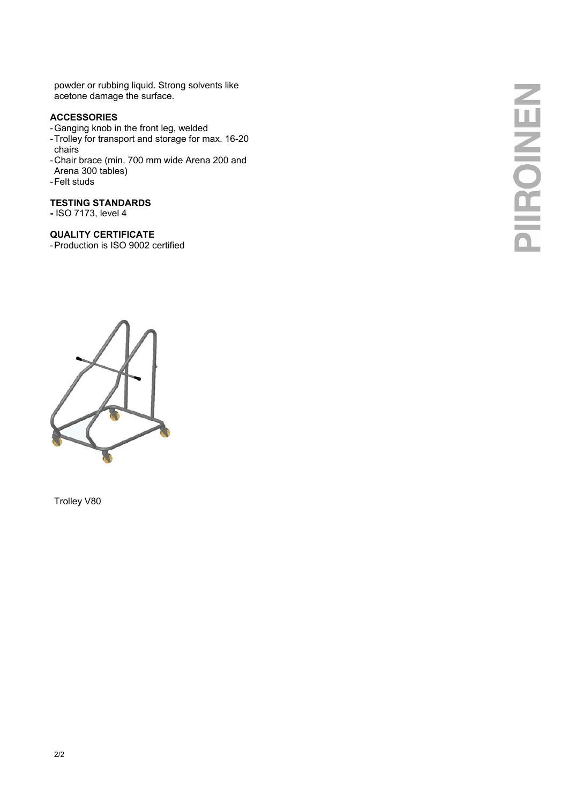powder or rubbing liquid. Strong solvents like acetone damage the surface.

# **ACCESSORIES**

- Ganging knob in the front leg, welded
- Trolley for transport and storage for max. 16-20 chairs
- Chair brace (min. 700 mm wide Arena 200 and Arena 300 tables)
- Felt studs

#### **TESTING STANDARDS**

**-** ISO 7173, level 4

# **QUALITY CERTIFICATE**

- Production is ISO 9002 certified



Trolley V80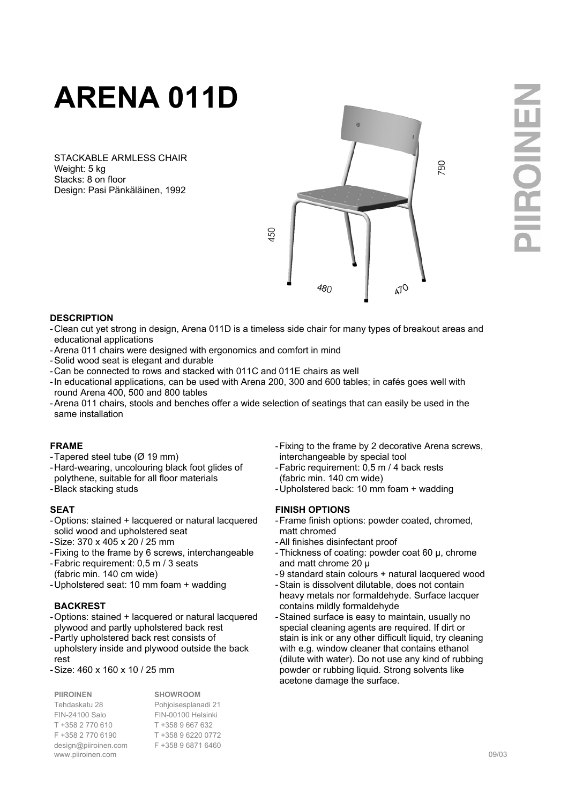

STACKABLE ARMLESS CHAIR Weight: 5 kg Stacks: 8 on floor Design: Pasi Pänkäläinen, 1992



#### **DESCRIPTION**

- Clean cut yet strong in design, Arena 011D is a timeless side chair for many types of breakout areas and educational applications
- Arena 011 chairs were designed with ergonomics and comfort in mind
- Solid wood seat is elegant and durable
- Can be connected to rows and stacked with 011C and 011E chairs as well
- In educational applications, can be used with Arena 200, 300 and 600 tables; in cafés goes well with round Arena 400, 500 and 800 tables
- Arena 011 chairs, stools and benches offer a wide selection of seatings that can easily be used in the same installation

#### **FRAME**

- Tapered steel tube (Ø 19 mm)
- Hard-wearing, uncolouring black foot glides of polythene, suitable for all floor materials
- Black stacking studs

#### **SEAT**

- Options: stained + lacquered or natural lacquered solid wood and upholstered seat
- Size: 370 x 405 x 20 / 25 mm
- Fixing to the frame by 6 screws, interchangeable
- Fabric requirement: 0,5 m / 3 seats
- (fabric min. 140 cm wide)
- Upholstered seat: 10 mm foam + wadding

# **BACKREST**

- Options: stained + lacquered or natural lacquered plywood and partly upholstered back rest
- Partly upholstered back rest consists of upholstery inside and plywood outside the back rest
- Size: 460 x 160 x 10 / 25 mm

| <b>PIIROINEN</b>     | <b>SHOWROOM</b>     |
|----------------------|---------------------|
| Tehdaskatu 28        | Pohjoisesplanadi 21 |
| FIN-24100 Salo       | FIN-00100 Helsinki  |
| T +358 2 770 610     | T +358 9 667 632    |
| F +358 2 770 6190    | T +358 9 6220 0772  |
| design@piiroinen.com | F +358 9 6871 6460  |
| www.piiroinen.com    |                     |

- Fixing to the frame by 2 decorative Arena screws, interchangeable by special tool
- Fabric requirement: 0,5 m / 4 back rests
- (fabric min. 140 cm wide)
- Upholstered back: 10 mm foam + wadding

- Frame finish options: powder coated, chromed, matt chromed
- All finishes disinfectant proof
- Thickness of coating: powder coat 60 µ, chrome and matt chrome 20 µ
- 9 standard stain colours + natural lacquered wood
- Stain is dissolvent dilutable, does not contain
- heavy metals nor formaldehyde. Surface lacquer contains mildly formaldehyde
- Stained surface is easy to maintain, usually no special cleaning agents are required. If dirt or stain is ink or any other difficult liquid, try cleaning with e.g. window cleaner that contains ethanol (dilute with water). Do not use any kind of rubbing powder or rubbing liquid. Strong solvents like acetone damage the surface.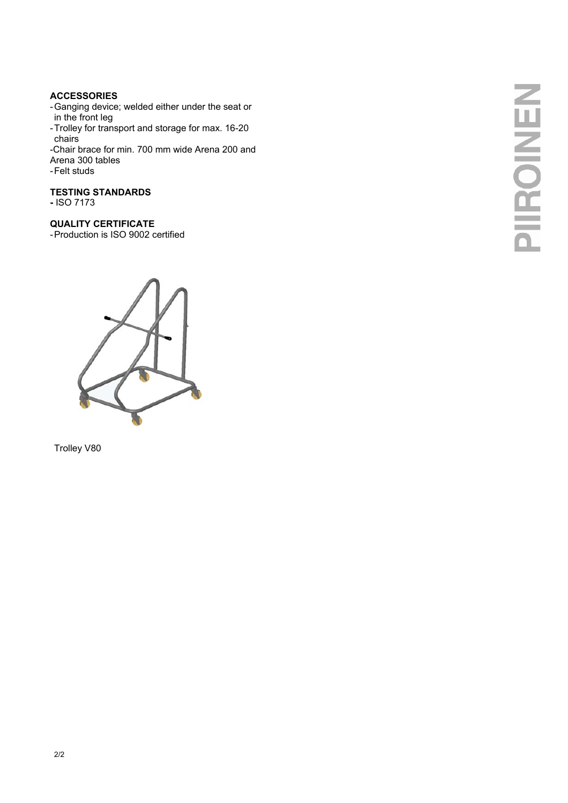# **ACCESSORIES**

- Ganging device; welded either under the seat or in the front leg
- Trolley for transport and storage for max. 16-20 chairs
- -Chair brace for min. 700 mm wide Arena 200 and
- Arena 300 tables
- Felt studs

# **TESTING STANDARDS**

**-** ISO 7173

# **QUALITY CERTIFICATE**

- Production is ISO 9002 certified



Trolley V80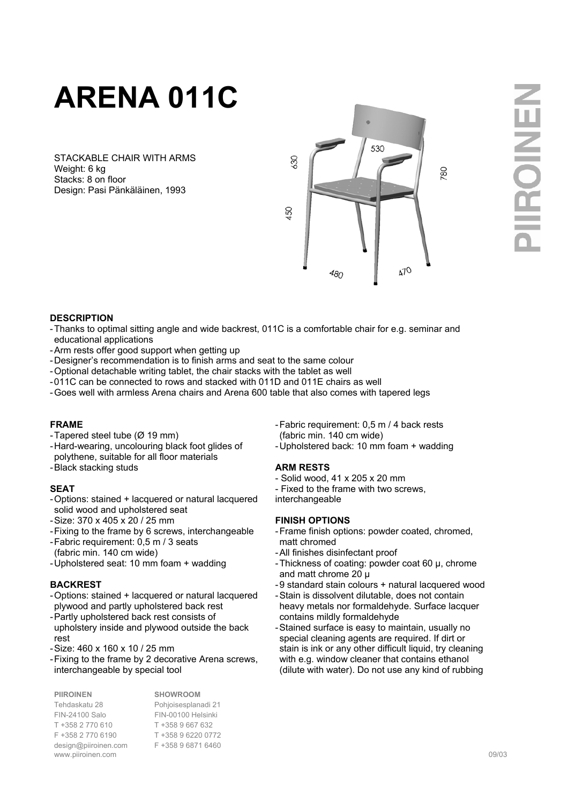

STACKABLE CHAIR WITH ARMS Weight: 6 kg Stacks: 8 on floor Design: Pasi Pänkäläinen, 1993



#### **DESCRIPTION**

- Thanks to optimal sitting angle and wide backrest, 011C is a comfortable chair for e.g. seminar and educational applications
- Arm rests offer good support when getting up
- Designer's recommendation is to finish arms and seat to the same colour
- Optional detachable writing tablet, the chair stacks with the tablet as well
- 011C can be connected to rows and stacked with 011D and 011E chairs as well
- Goes well with armless Arena chairs and Arena 600 table that also comes with tapered legs

#### **FRAME**

- Tapered steel tube (Ø 19 mm)
- Hard-wearing, uncolouring black foot glides of polythene, suitable for all floor materials
- Black stacking studs

#### **SEAT**

- Options: stained + lacquered or natural lacquered solid wood and upholstered seat
- Size: 370 x 405 x 20 / 25 mm
- Fixing to the frame by 6 screws, interchangeable
- Fabric requirement: 0,5 m / 3 seats
- (fabric min. 140 cm wide)
- Upholstered seat: 10 mm foam + wadding

#### **BACKREST**

- Options: stained + lacquered or natural lacquered plywood and partly upholstered back rest
- Partly upholstered back rest consists of upholstery inside and plywood outside the back rest
- Size: 460 x 160 x 10 / 25 mm
- Fixing to the frame by 2 decorative Arena screws, interchangeable by special tool

| <b>PIIROINEN</b>     | <b>SHOWROOM</b>     |       |
|----------------------|---------------------|-------|
| Tehdaskatu 28        | Pohjoisesplanadi 21 |       |
| FIN-24100 Salo       | FIN-00100 Helsinki  |       |
| T +358 2 770 610     | T +358 9 667 632    |       |
| F +358 2 770 6190    | T +358 9 6220 0772  |       |
| design@piiroinen.com | F +358 9 6871 6460  |       |
| www.piiroinen.com    |                     | 09/03 |

- Fabric requirement: 0,5 m / 4 back rests

- (fabric min. 140 cm wide)
- Upholstered back: 10 mm foam + wadding
- **ARM RESTS**
- Solid wood, 41 x 205 x 20 mm
- Fixed to the frame with two screws,
- interchangeable

- Frame finish options: powder coated, chromed, matt chromed
- All finishes disinfectant proof
- Thickness of coating: powder coat 60 µ, chrome and matt chrome 20 µ
- 9 standard stain colours + natural lacquered wood
- Stain is dissolvent dilutable, does not contain heavy metals nor formaldehyde. Surface lacquer contains mildly formaldehyde
- Stained surface is easy to maintain, usually no special cleaning agents are required. If dirt or stain is ink or any other difficult liquid, try cleaning with e.g. window cleaner that contains ethanol (dilute with water). Do not use any kind of rubbing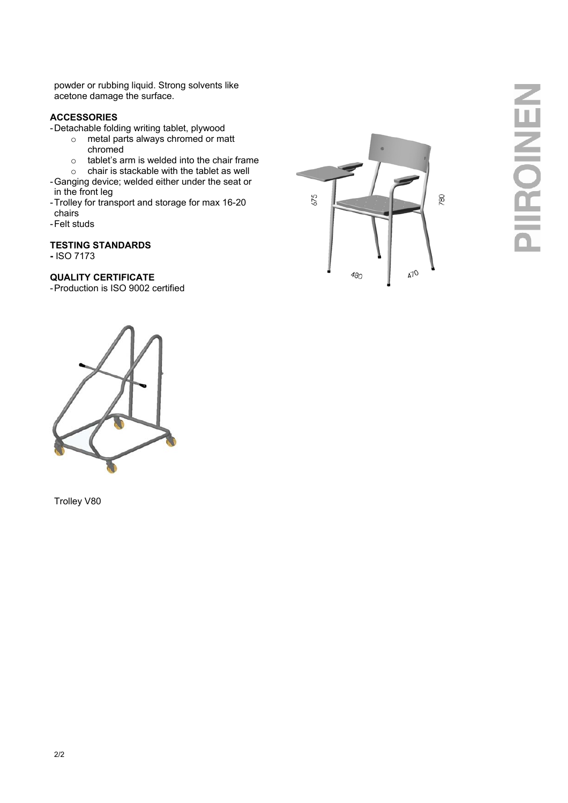powder or rubbing liquid. Strong solvents like acetone damage the surface.

# **ACCESSORIES**

- Detachable folding writing tablet, plywood
	- o metal parts always chromed or matt chromed
	- $\circ$  tablet's arm is welded into the chair frame
	- o chair is stackable with the tablet as well
- Ganging device; welded either under the seat or in the front leg
- Trolley for transport and storage for max 16-20 chairs
- Felt studs

# **TESTING STANDARDS**

**-** ISO 7173

# **QUALITY CERTIFICATE**

- Production is ISO 9002 certified



Trolley V80



# NENE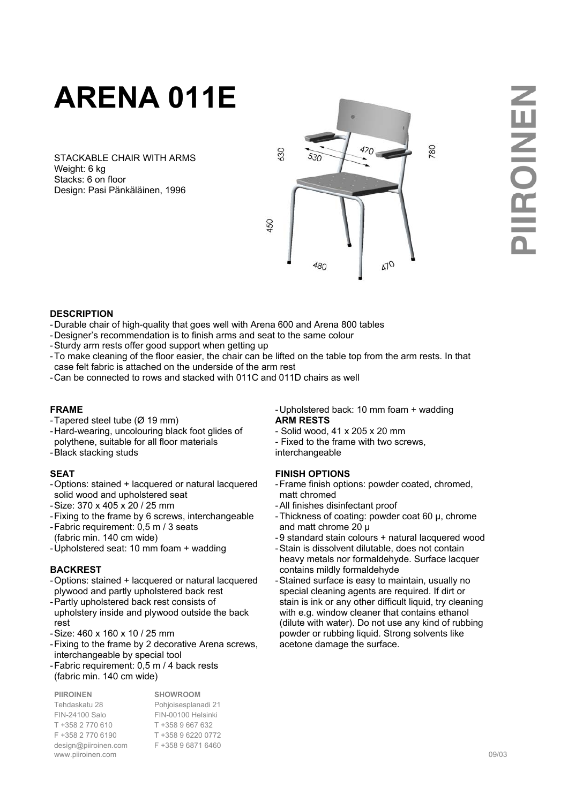

STACKABLE CHAIR WITH ARMS Weight: 6 kg Stacks: 6 on floor Design: Pasi Pänkäläinen, 1996



#### **DESCRIPTION**

- Durable chair of high-quality that goes well with Arena 600 and Arena 800 tables
- Designer's recommendation is to finish arms and seat to the same colour
- Sturdy arm rests offer good support when getting up
- To make cleaning of the floor easier, the chair can be lifted on the table top from the arm rests. In that case felt fabric is attached on the underside of the arm rest
- Can be connected to rows and stacked with 011C and 011D chairs as well

#### **FRAME**

- Tapered steel tube (Ø 19 mm)
- Hard-wearing, uncolouring black foot glides of polythene, suitable for all floor materials
- Black stacking studs

#### **SEAT**

- Options: stained + lacquered or natural lacquered solid wood and upholstered seat
- Size: 370 x 405 x 20 / 25 mm
- Fixing to the frame by 6 screws, interchangeable
- Fabric requirement: 0,5 m / 3 seats
- (fabric min. 140 cm wide)
- Upholstered seat: 10 mm foam + wadding

#### **BACKREST**

- Options: stained + lacquered or natural lacquered plywood and partly upholstered back rest
- Partly upholstered back rest consists of upholstery inside and plywood outside the back rest
- Size: 460 x 160 x 10 / 25 mm
- Fixing to the frame by 2 decorative Arena screws, interchangeable by special tool
- Fabric requirement: 0,5 m / 4 back rests
- (fabric min. 140 cm wide)

| <b>PIIROINEN</b>     | <b>SHOWROOM</b>     |       |
|----------------------|---------------------|-------|
| Tehdaskatu 28        | Pohjoisesplanadi 21 |       |
| FIN-24100 Salo       | FIN-00100 Helsinki  |       |
| T +358 2 770 610     | T +358 9 667 632    |       |
| F +358 2 770 6190    | T +358 9 6220 0772  |       |
| design@piiroinen.com | F +358 9 6871 6460  |       |
| www.piiroinen.com    |                     | 09/03 |

- Upholstered back: 10 mm foam + wadding **ARM RESTS** 

- Solid wood, 41 x 205 x 20 mm
- Fixed to the frame with two screws, interchangeable

- Frame finish options: powder coated, chromed, matt chromed
- All finishes disinfectant proof
- Thickness of coating: powder coat 60 µ, chrome and matt chrome 20 µ
- 9 standard stain colours + natural lacquered wood
- Stain is dissolvent dilutable, does not contain heavy metals nor formaldehyde. Surface lacquer contains mildly formaldehyde
- Stained surface is easy to maintain, usually no special cleaning agents are required. If dirt or stain is ink or any other difficult liquid, try cleaning with e.g. window cleaner that contains ethanol (dilute with water). Do not use any kind of rubbing powder or rubbing liquid. Strong solvents like acetone damage the surface.